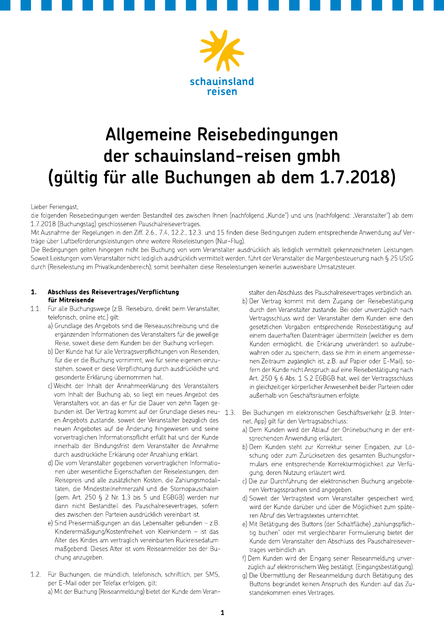



# Allgemeine Reisebedingungen der schauinsland-reisen gmbh (gültig für alle Buchungen ab dem 1.7.2018)

Lieber Feriengast,

die folgenden Reisebedingungen werden Bestandteil des zwischen Ihnen (nachfolgend "Kunde") und uns (nachfolgend: "Veranstalter") ab dem 1.7.2018 (Buchungstag) geschlossenen Pauschalreisevertrages.

Mit Ausnahme der Regelungen in den Ziff. 2.6., 7.4, 12.2., 12.3. und 15 finden diese Bedingungen zudem entsprechende Anwendung auf Verträge über Luftbeförderungsleistungen ohne weitere Reiseleistungen (Nur-Flug).

Die Bedingungen gelten hingegen nicht bei Buchung von vom Veranstalter ausdrücklich als lediglich vermittelt gekennzeichneten Leistungen. Soweit Leistungen vom Veranstalter nicht lediglich ausdrücklich vermittelt werden, führt der Veranstalter die Margenbesteuerung nach § 25 UStG durch (Reiseleistung im Privatkundenbereich); somit beinhalten diese Reiseleistungen keinerlei ausweisbare Umsatzsteuer.

#### Abschluss des Reisevertrages/Verpflichtung  $1.$ für Mitreisende

- $11$ Für alle Buchungswege (z.B. Reisebüro, direkt beim Veranstalter, telefonisch, online etc.) gilt:
	- a) Grundlage des Angebots sind die Reiseausschreibung und die ergänzenden Informationen des Veranstalters für die jeweilige Reise, soweit diese dem Kunden bei der Buchung vorliegen.
	- b) Der Kunde hat für alle Vertragsverpflichtungen von Reisenden, für die er die Buchung vornimmt, wie für seine eigenen einzustehen, soweit er diese Verpflichtung durch ausdrückliche und gesonderte Erklärung übernommen hat.
	- c) Weicht der Inhalt der Annahmeerklärung des Veranstalters vom Inhalt der Buchung ab, so liegt ein neues Angebot des Veranstalters vor, an das er für die Dauer von zehn Tagen gebunden ist. Der Vertrag kommt auf der Grundlage dieses neu- 1.3. en Angebots zustande, soweit der Veranstalter bezüglich des neuen Angebotes auf die Änderung hingewiesen und seine vorvertraglichen Informationspflicht erfüllt hat und der Kunde innerhalb der Bindungsfrist dem Veranstalter die Annahme durch ausdrückliche Erklärung oder Anzahlung erklärt.
	- d) Die vom Veranstalter gegebenen vorvertraglichen Informationen über wesentliche Eigenschaften der Reiseleistungen, den Reisepreis und alle zusätzlichen Kosten, die Zahlungsmodalitäten, die Mindestteilnehmerzahl und die Stornopauschalen (gem. Art. 250 § 2 Nr. 1,3 bis 5 und EGBGB) werden nur dann nicht Bestandteil des Pauschalreisevertrages, sofern dies zwischen den Parteien ausdrücklich vereinbart ist.
	- e) Sind Preisermäßigungen an das Lebensalter gebunden z.B. Kinderermäßigung/Kostenfreiheit von Kleinkindern - ist das Alter des Kindes am vertraglich vereinbarten Rückreisedatum maßgebend. Dieses Alter ist vom Reiseanmelder bei der Buchung anzugeben.
- 1.2. Für Buchungen, die mündlich, telefonisch, schriftlich, per SMS, per E-Mail oder per Telefax erfolgen, gilt: a) Mit der Buchung (Reiseanmeldung) bietet der Kunde dem Veran-

stalter den Abschluss des Pauschalreisevertrages verbindlich an.

- b) Der Vertrag kommt mit dem Zugang der Reisebestätigung durch den Veranstalter zustande. Bei oder unverzüglich nach Vertragsschluss wird der Veranstalter dem Kunden eine den gesetzlichen Vorgaben entsprechende Reisebestätigung auf einem dauerhaften Datenträger übermitteln (welcher es dem Kunden ermöglicht, die Erklärung unverändert so aufzubewahren oder zu speichern, dass sie ihm in einem angemessenen Zeitraum zugänglich ist, z.B. auf Papier oder E-Mail), sofern der Kunde nicht Anspruch auf eine Reisebestätigung nach Art. 250 § 6 Abs. 1 S.2 EGBGB hat, weil der Vertragsschluss in gleichzeitiger körperlicher Anwesenheit beider Parteien oder außerhalb von Geschäftsräumen erfolgte.
- Bei Buchungen im elektronischen Geschäftsverkehr (z.B. Internet, App) gilt für den Vertragsabschluss:
	- a) Dem Kunden wird der Ablauf der Onlinebuchung in der entsprechenden Anwendung erläutert.
	- b) Dem Kunden steht zur Korrektur seiner Eingaben, zur Löschung oder zum Zurücksetzen des gesamten Buchungsformulars eine entsprechende Korrekturmöglichkeit zur Verfügung, deren Nutzung erläutert wird.
	- c) Die zur Durchführung der elektronischen Buchung angebotenen Vertragssprachen sind angegeben.
	- d) Soweit der Vertragstext vom Veranstalter gespeichert wird, wird der Kunde darüber und über die Möglichkeit zum späteren Abruf des Vertragstextes unterrichtet.
	- e) Mit Betätigung des Buttons (der Schaltfläche) "zahlungspflichtig buchen" oder mit vergleichbarer Formulierung bietet der Kunde dem Veranstalter den Abschluss des Pauschalreisevertrages verbindlich an.
	- f) Dem Kunden wird der Eingang seiner Reiseanmeldung unverzüglich auf elektronischem Weg bestätigt. (Eingangsbestätigung).
	- g) Die Übermittlung der Reiseanmeldung durch Betätigung des Buttons begründet keinen Anspruch des Kunden auf das Zustandekommen eines Vertrages.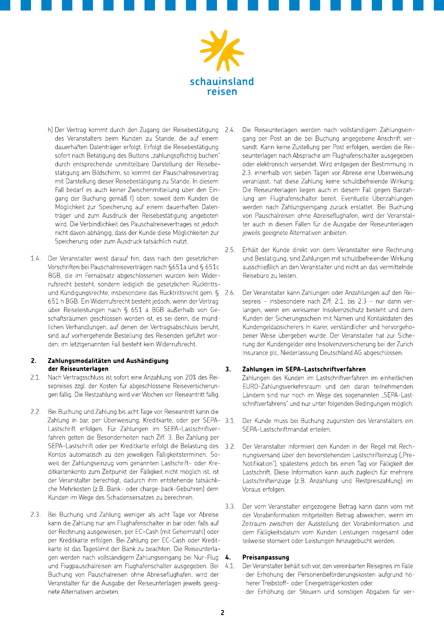

- h) Der Vertrag kommt durch den Zugang der Reisebestätigung 2.4. des Veranstalters beim Kunden zu Stande, die auf einem dauerhaften Datenträger erfolgt. Erfolgt die Reisebestätigung sofort nach Betätigung des Buttons "zahlungspflichtig buchen" durch entsprechende unmittelbare Darstellung der Reisebestätigung am Bildschirm, so kommt der Pauschalreisevertrag mit Darstellung dieser Reisebestätigung zu Stande. In diesem Fall bedarf es auch keiner Zwischenmitteilung über den Eingang der Buchung gemäß f) oben, soweit dem Kunden die Möglichkeit zur Speicherung auf einem dauerhaften Datenträger und zum Ausdruck der Reisebestätigung angeboten wird. Die Verbindlichkeit des Pauschalreisevertrages ist jedoch nicht davon abhängig, dass der Kunde diese Möglichkeiten zur Speicherung oder zum Ausdruck tatsächlich nutzt.
- 1.4. Der Veranstalter weist darauf hin, dass nach den gesetzlichen Vorschriften bei Pauschalreiseverträgen nach §651a und § 651c BGB, die im Fernabsatz abgeschlossenen wurden kein Widerrufsrecht besteht, sondern lediglich die gesetzlichen Rücktrittsund Kündigungsrechte, insbesondere das Rücktrittsrecht gem. § 651 h BGB. Ein Widerrufsrecht besteht jedoch, wenn der Vertrag über Reiseleistungen nach § 651 a BGB außerhalb von Geschäftsräumen geschlossen worden ist, es sei denn, die mündlichen Verhandlungen, auf denen der Vertragsabschluss beruht, sind auf vorhergehende Bestellung des Reisenden geführt worden; im letztgenannten Fall besteht kein Widerrufsrecht.

#### $2.$ Zahlungsmodalitäten und Aushändigung der Reiseunterlagen

- $2.1.$ Nach Vertragsschluss ist sofort eine Anzahlung von 20% des Reisepreises zzgl. der Kosten für abgeschlossene Reiseversicherungen fällig. Die Restzahlung wird vier Wochen vor Reiseantritt fällig.
- 2.2. Bei Buchung und Zahlung bis acht Tage vor Reiseantritt kann die Zahlung in bar, per Überweisung, Kreditkarte, oder per SEPA- 3.1. Lastschrift erfolgen. Für Zahlungen im SEPA-Lastschriftverfahren gelten die Besonderheiten nach Ziff. 3. Bei Zahlung per SEPA-Lastschrift oder per Kreditkarte erfolgt die Belastung des 32 Kontos automatisch zu den jeweiligen Fälligkeitsterminen. Soweit der Zahlungseinzug vom genannten Lastschrift- oder Kreditkartenkonto zum Zeitpunkt der Fälligkeit nicht möglich ist, ist der Veranstalter berechtigt, dadurch ihm entstehende tatsächliche Mehrkosten (z.B. Bank- oder charge-back-Gebühren) dem Kunden im Wege des Schadensersatzes zu berechnen.
- 2.3. Bei Buchung und Zahlung weniger als acht Tage vor Abreise kann die Zahlung nur am Flughafenschalter in bar oder, falls auf der Rechnung ausgewiesen, per EC-Cash (mit Geheimzahl) oder per Kreditkarte erfolgen. Bei Zahlung per EC-Cash oder Kreditkarte ist das Tageslimit der Bank zu beachten. Die Reiseunterlagen werden nach vollständigem Zahlungseingang bei Nur-Flug 4. und Flugpauschalreisen am Flughafenschalter ausgegeben. Bei Buchung von Pauschalreisen ohne Abreiseflughafen, wird der Veranstalter für die Ausgabe der Reiseunterlagen jeweils geeignete Alternativen anbieten.
- Die Reiseunterlagen werden nach vollständigem Zahlungseingang per Post an die bei Buchung angegebene Anschrift versandt. Kann keine Zustellung per Post erfolgen, werden die Reiseunterlagen nach Absprache am Flughafenschalter ausgegeben oder elektronisch versendet. Wird entgegen der Bestimmung in 2.3. innerhalb von sieben Tagen vor Abreise eine Überweisung veranlasst, hat diese Zahlung keine schuldbefreiende Wirkung. Die Reiseunterlagen liegen auch in diesem Fall gegen Barzahlung am Flughafenschalter bereit. Eventuelle Überzahlungen werden nach Zahlungseingang zurück erstattet. Bei Buchung von Pauschalreisen ohne Abreiseflughafen, wird der Veranstalter auch in diesen Fällen für die Ausgabe der Reiseunterlagen jeweils geeignete Alternativen anbieten.
- Erhält der Kunde direkt von dem Veranstalter eine Rechnung  $25$ und Bestätigung, sind Zahlungen mit schuldbefreiender Wirkung ausschließlich an den Veranstalter und nicht an das vermittelnde Reisebüro zu leisten.
- Der Veranstalter kann Zahlungen oder Anzahlungen auf den Rei- $2.6.$ sepreis - insbesondere nach Ziff. 2.1. bis 2.3 - nur dann verlangen, wenn ein wirksamer Insolvenzschutz besteht und dem Kunden der Sicherungsschein mit Namen und Kontaktdaten des Kundengeldabsicherers in klarer, verständlicher und hervorgehobener Weise übergeben wurde. Der Veranstalter hat zur Sicherung der Kundengelder eine Insolvenzversicherung bei der Zurich Insurance plc, Niederlassung Deutschland AG abgeschlossen.

#### Zahlungen im SEPA-Lastschriftverfahren  $\mathbf{R}$

Zahlungen des Kunden im Lastschriftverfahren im einheitlichen EURO-Zahlungsverkehrsraum und den daran teilnehmenden Ländern sind nur noch im Wege des sogenannten "SEPA-Lastschriftverfahrens" und nur unter folgenden Bedingungen möglich:

- Der Kunde muss bei Buchung zugunsten des Veranstalters ein SEPA-Lastschriftmandat erteilen.
- Der Veranstalter informiert den Kunden in der Regel mit Rechnungsversand über den bevorstehenden Lastschrifteinzug ("Pre-Notifikation"), spätestens jedoch bis einen Tag vor Fälligkeit der Lastschrift. Diese Information kann auch zugleich für mehrere Lastschrifteinzüge (z.B. Anzahlung und Restpreiszahlung) im Voraus erfolgen.
- $3.3.$ Der vom Veranstalter eingezogene Betrag kann dann vom mit der Vorabinformation mitgeteilten Betrag abweichen, wenn im Zeitraum zwischen der Ausstellung der Vorabinformation und dem Fälligkeitsdatum vom Kunden Leistungen insgesamt oder teilweise storniert oder Leistungen hinzugebucht werden.

### Preisanpassung

- $4.1.$ Der Veranstalter behält sich vor, den vereinbarten Reisepreis im Falle · der Erhöhung der Personenbeförderungskosten aufgrund höherer Treibstoff- oder Energieträgerkosten oder
	- der Erhöhung der Steuern und sonstigen Abgaben für ver-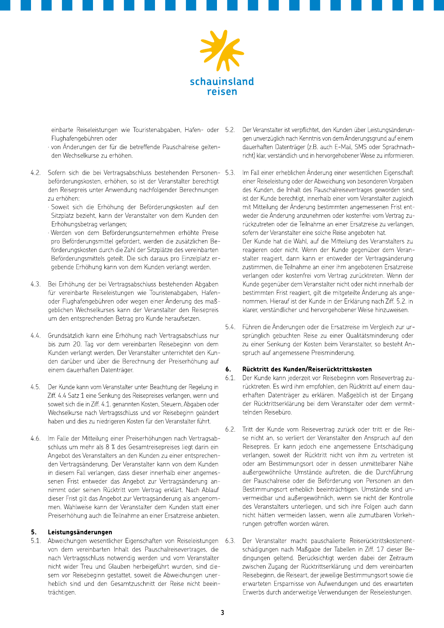

einbarte Reiseleistungen wie Touristenabgaben, Hafen- oder 5.2. Flughafengebühren oder

- · von Änderungen der für die betreffende Pauschalreise geltenden Wechselkurse zu erhöhen.
- 4.2. Sofern sich die bei Vertragsabschluss bestehenden Personen- 5.3. beförderungskosten, erhöhen, so ist der Veranstalter berechtigt den Reisepreis unter Anwendung nachfolgender Berechnungen zu erhöhen:
	- · Soweit sich die Erhöhung der Beförderungskosten auf den Sitzplatz bezieht, kann der Veranstalter von dem Kunden den Erhöhungsbetrag verlangen;
	- · Werden von dem Beförderungsunternehmen erhöhte Preise pro Beförderungsmittel gefordert, werden die zusätzlichen Beförderungskosten durch die Zahl der Sitzplätze des vereinbarten Beförderungsmittels geteilt. Die sich daraus pro Einzelplatz ergebende Erhöhung kann von dem Kunden verlangt werden.
- 4.3. Bei Erhöhung der bei Vertragsabschluss bestehenden Abgaben für vereinbarte Reiseleistungen wie Touristenabgaben, Hafenoder Flughafengebühren oder wegen einer Änderung des maßgeblichen Wechselkurses kann der Veranstalter den Reisepreis um den entsprechenden Betrag pro Kunde heraufsetzen.
- 4.4. Grundsätzlich kann eine Erhöhung nach Vertragsabschluss nur bis zum 20. Tag vor dem vereinbarten Reisebeginn von dem Kunden verlangt werden. Der Veranstalter unterrichtet den Kunden darüber und über die Berechnung der Preiserhöhung auf einem dauerhaften Datenträger.
- Der Kunde kann vom Veranstalter unter Beachtung der Regelung in  $4.5.$ Ziff. 4.4 Satz 1 eine Senkung des Reisepreises verlangen, wenn und soweit sich die in Ziff. 4.1. genannten Kosten, Steuern, Abgaben oder Wechselkurse nach Vertragsschluss und vor Reisebeginn geändert haben und dies zu niedrigeren Kosten für den Veranstalter führt.
- 4.6. Im Falle der Mitteilung einer Preiserhöhungen nach Vertragsabschluss um mehr als 8 % des Gesamtreisepreises liegt darin ein Angebot des Veranstalters an den Kunden zu einer entsprechenden Vertragsänderung. Der Veranstalter kann von dem Kunden in diesem Fall verlangen, dass dieser innerhalb einer angemessenen Frist entweder das Angebot zur Vertragsänderung annimmt oder seinen Rücktritt vom Vertrag erklärt. Nach Ablauf dieser Frist gilt das Angebot zur Vertragsänderung als angenommen. Wahlweise kann der Veranstalter dem Kunden statt einer Preiserhöhung auch die Teilnahme an einer Ersatzreise anbieten.

#### $5.$ Leistungsänderungen

5.1. Abweichungen wesentlicher Eigenschaften von Reiseleistungen 6.3. von dem vereinbarten Inhalt des Pauschalreisevertrages, die nach Vertragsschluss notwendig werden und vom Veranstalter nicht wider Treu und Glauben herbeigeführt wurden, sind diesem vor Reisebeginn gestattet, soweit die Abweichungen unerheblich sind und den Gesamtzuschnitt der Reise nicht beeinträchtigen.

- Der Veranstalter ist verpflichtet, den Kunden über Leistungsänderungen unverzüglich nach Kenntnis von dem Änderungsgrund auf einem dauerhaften Datenträger (z.B. auch E-Mail, SMS oder Sprachnachricht) klar, verständlich und in hervorgehobener Weise zu informieren.
- Im Fall einer erheblichen Änderung einer wesentlichen Eigenschaft einer Reiseleistung oder der Abweichung von besonderen Vorgaben des Kunden, die Inhalt des Pauschalreisevertrages geworden sind, ist der Kunde berechtigt, innerhalb einer vom Veranstalter zugleich mit Mitteilung der Änderung bestimmten angemessenen Frist entweder die Änderung anzunehmen oder kostenfrei vom Vertrag zurückzutreten oder die Teilnahme an einer Ersatzreise zu verlangen, sofern der Veranstalter eine solche Reise angeboten hat. Der Kunde hat die Wahl, auf die Mitteilung des Veranstalters zu reagieren oder nicht. Wenn der Kunde gegenüber dem Veranstalter reagiert, dann kann er entweder der Vertragsänderung zustimmen, die Teilnahme an einer ihm angebotenen Ersatzreise verlangen oder kostenfrei vom Vertrag zurücktreten. Wenn der Kunde gegenüber dem Veranstalter nicht oder nicht innerhalb der bestimmten Frist reagiert, gilt die mitgeteilte Änderung als angenommen. Hierauf ist der Kunde in der Erklärung nach Ziff. 5.2. in klarer, verständlicher und hervorgehobener Weise hinzuweisen.
- 5.4. Führen die Änderungen oder die Ersatzreise im Vergleich zur ursprünglich gebuchten Reise zu einer Qualitätsminderung oder zu einer Senkung der Kosten beim Veranstalter, so besteht Anspruch auf angemessene Preisminderung.

#### Rücktritt des Kunden/Reiserücktrittskosten 6.

- Der Kunde kann jederzeit vor Reisebeginn vom Reisevertrag zu-6.1. rücktreten. Es wird ihm empfohlen, den Rücktritt auf einem dauerhaften Datenträger zu erklären. Maßgeblich ist der Eingang der Rücktrittserklärung bei dem Veranstalter oder dem vermittelnden Reisebüro.
- $6.2.$ Tritt der Kunde vom Reisevertrag zurück oder tritt er die Reise nicht an, so verliert der Veranstalter den Anspruch auf den Reisepreis. Er kann jedoch eine angemessene Entschädigung verlangen, soweit der Rücktritt nicht von ihm zu vertreten ist oder am Bestimmungsort oder in dessen unmittelbarer Nähe außergewöhnliche Umstände auftreten, die die Durchführung der Pauschalreise oder die Beförderung von Personen an den Bestimmungsort erheblich beeinträchtigen. Umstände sind unvermeidbar und außergewöhnlich, wenn sie nicht der Kontrolle des Veranstalters unterliegen, und sich ihre Folgen auch dann nicht hätten vermeiden lassen, wenn alle zumutbaren Vorkehrungen getroffen worden wären.
- Der Veranstalter macht pauschalierte Reiserücktrittskostenentschädigungen nach Maßgabe der Tabellen in Ziff. 17 dieser Bedingungen geltend. Berücksichtigt werden dabei der Zeitraum zwischen Zugang der Rücktrittserklärung und dem vereinbarten Reisebeginn, die Reiseart, der jeweilige Bestimmungsort sowie die erwarteten Ersparnisse von Aufwendungen und des erwarteten Erwerbs durch anderweitige Verwendungen der Reiseleistungen.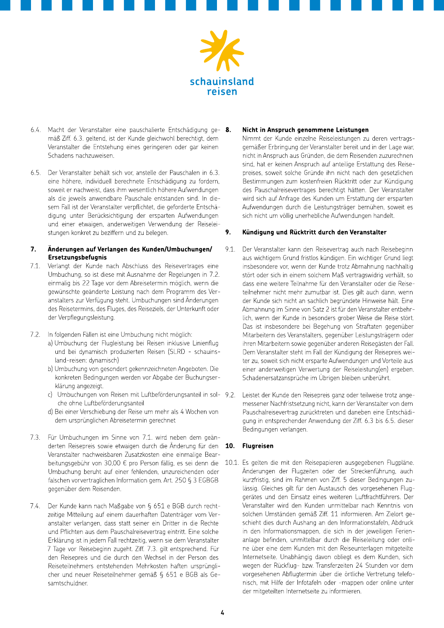

- 6.4. Macht der Veranstalter eine pauschalierte Entschädigung ge- 8. mäß Ziff, 6.3. geltend, ist der Kunde gleichwohl berechtigt, dem Veranstalter die Entstehung eines geringeren oder gar keinen Schadens nachzuweisen.
- 6.5. Der Veranstalter behält sich vor, anstelle der Pauschalen in 6.3. eine höhere, individuell berechnete Entschädigung zu fordern, soweit er nachweist, dass ihm wesentlich höhere Aufwendungen als die jeweils anwendbare Pauschale entstanden sind. In diesem Fall ist der Veranstalter verpflichtet, die geforderte Entschädigung unter Berücksichtigung der ersparten Aufwendungen und einer etwaigen, anderweitigen Verwendung der Reiseleistungen konkret zu beziffern und zu belegen.

#### 7. Änderungen auf Verlangen des Kunden/Umbuchungen/ Ersetzungsbefugnis

- $7.1.$ Verlangt der Kunde nach Abschluss des Reisevertrages eine Umbuchung, so ist diese mit Ausnahme der Regelungen in 7.2. einmalig bis 22 Tage vor dem Abreisetermin möglich, wenn die gewünschte geänderte Leistung nach dem Programm des Veranstalters zur Verfügung steht. Umbuchungen sind Änderungen des Reisetermins, des Fluges, des Reiseziels, der Unterkunft oder der Verpflegungsleistung.
- In folgenden Fällen ist eine Umbuchung nicht möglich:  $7.2.$ 
	- a) Umbuchung der Flugleistung bei Reisen inklusive Linienflug und bei dynamisch produzierten Reisen (SLRD - schauinsland-reisen: dynamisch)
	- b) Umbuchung von gesondert gekennzeichneten Angeboten. Die konkreten Bedingungen werden vor Abgabe der Buchungserklärung angezeigt.
	- c) Umbuchungen von Reisen mit Luftbeförderungsanteil in sol- 9.2. che ohne Luftbeförderungsanteil
	- d) Bei einer Verschiebung der Reise um mehr als 4 Wochen von dem ursprünglichen Abreisetermin gerechnet
- 7.3. Für Umbuchungen im Sinne von 7.1, wird neben dem geänderten Reisepreis sowie etwaigen durch die Änderung für den 10. Veranstalter nachweisbaren Zusatzkosten eine einmalige Bearbeitungsgebühr von 30.00 € pro Person fällig, es sei denn die Umbuchung beruht auf einer fehlenden, unzureichenden oder falschen vorvertraglichen Information gem. Art. 250 § 3 EGBGB gegenüber dem Reisenden.
- 7.4. Der Kunde kann nach Maßgabe von § 651 e BGB durch rechtzeitige Mitteilung auf einem dauerhaften Datenträger vom Veranstalter verlangen, dass statt seiner ein Dritter in die Rechte und Pflichten aus dem Pauschalreisevertrag eintritt. Eine solche Erklärung ist in jedem Fall rechtzeitig, wenn sie dem Veranstalter 7 Tage vor Reisebeginn zugeht. Ziff. 7.3. gilt entsprechend. Für den Reisepreis und die durch den Wechsel in der Person des Reiseteilnehmers entstehenden Mehrkosten haften ursprünglicher und neuer Reiseteilnehmer gemäß § 651 e BGB als Gesamtschuldner.

### Nicht in Anspruch genommene Leistungen

Nimmt der Kunde einzelne Reiseleistungen zu deren vertragsgemäßer Erbringung der Veranstalter bereit und in der Lage war, nicht in Anspruch aus Gründen, die dem Reisenden zuzurechnen sind, hat er keinen Anspruch auf anteilige Erstattung des Reisepreises, soweit solche Gründe ihn nicht nach den gesetzlichen Bestimmungen zum kostenfreien Rücktritt oder zur Kündigung des Pauschalreisevertrages berechtigt hätten. Der Veranstalter wird sich auf Anfrage des Kunden um Erstattung der ersparten Aufwendungen durch die Leistungsträger bemühen, soweit es sich nicht um völlig unerhebliche Aufwendungen handelt.

#### 9. Kündigung und Rücktritt durch den Veranstalter

- 9.1. Der Veranstalter kann den Reisevertrag auch nach Reisebeginn aus wichtigem Grund fristlos kündigen. Ein wichtiger Grund liegt insbesondere vor, wenn der Kunde trotz Abmahnung nachhaltig stört oder sich in einem solchem Maß vertragswidrig verhält, so dass eine weitere Teilnahme für den Veranstalter oder die Reiseteilnehmer nicht mehr zumutbar ist. Dies gilt auch dann, wenn der Kunde sich nicht an sachlich begründete Hinweise hält. Eine Abmahnung im Sinne von Satz 2 ist für den Veranstalter entbehrlich, wenn der Kunde in besonders grober Weise die Reise stört. Das ist insbesondere bei Begehung von Straftaten gegenüber Mitarbeitern des Veranstalters, gegenüber Leistungsträgern oder ihren Mitarbeitern sowie gegenüber anderen Reisegästen der Fall. Dem Veranstalter steht im Fall der Kündigung der Reisepreis weiter zu, soweit sich nicht ersparte Aufwendungen und Vorteile aus einer anderweitigen Verwertung der Reiseleistung(en) ergeben. Schadenersatzansprüche im Übrigen bleiben unberührt.
- Leistet der Kunde den Reisepreis ganz oder teilweise trotz angemessener Nachfristsetzung nicht, kann der Veranstalter von dem Pauschalreisevertrag zurücktreten und daneben eine Entschädigung in entsprechender Anwendung der Ziff. 6.3 bis 6.5. dieser Bedingungen verlangen.

# **Flugreisen**

10.1. Es gelten die mit den Reisepapieren ausgegebenen Flugpläne. Änderungen der Flugzeiten oder der Streckenführung, auch kurzfristig, sind im Rahmen von Ziff. 5 dieser Bedingungen zulässig. Gleiches gilt für den Austausch des vorgesehenen Fluggerätes und den Einsatz eines weiteren Luftfrachtführers. Der Veranstalter wird den Kunden unmittelbar nach Kenntnis von solchen Umständen gemäß Ziff. 11 informieren. Am Zielort geschieht dies durch Aushang an den Informationstafeln, Abdruck in den Informationsmappen, die sich in der jeweiligen Ferienanlage befinden, unmittelbar durch die Reiseleitung oder online über eine dem Kunden mit den Reiseunterlagen mitgeteilte Internetseite. Unabhängig davon obliegt es dem Kunden, sich wegen der Rückflug- bzw. Transferzeiten 24 Stunden vor dem vorgesehenen Abflugtermin über die örtliche Vertretung telefonisch, mit Hilfe der Infotafeln oder -mappen oder online unter der mitgeteilten Internetseite zu informieren.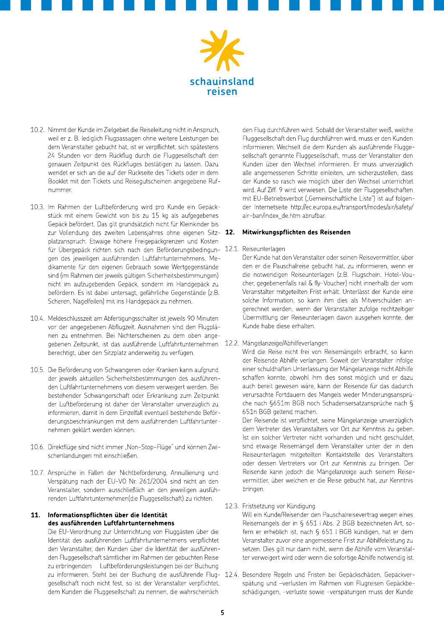

- 10.2. Nimmt der Kunde im Zielgebiet die Reiseleitung nicht in Anspruch, weil er z. B. lediglich Flugpassagen ohne weitere Leistungen bei dem Veranstalter gebucht hat, ist er verpflichtet, sich spätestens 24 Stunden vor dem Rückflug durch die Fluggesellschaft den genauen Zeitpunkt des Rückfluges bestätigen zu lassen. Dazu wendet er sich an die auf der Rückseite des Tickets oder in dem Booklet mit den Tickets und Reisegutscheinen angegebene Rufnummer.
- 10.3. Im Rahmen der Luftbeförderung wird pro Kunde ein Gepäckstück mit einem Gewicht von bis zu 15 kg als aufgegebenes Gepäck befördert. Das gilt grundsätzlich nicht für Kleinkinder bis zur Vollendung des zweiten Lebensiahres ohne eigenen Sitz- 12. platzanspruch. Etwaige höhere Freigepäckgrenzen und Kosten für Übergepäck richten sich nach den Beförderungsbedingun- 12.1. gen des jeweiligen ausführenden Luftfahrtunternehmens. Medikamente für den eigenen Gebrauch sowie Wertgegenstände sind (im Rahmen der jeweils gültigen Sicherheitsbestimmungen) nicht im aufzugebenden Gepäck, sondern im Handgepäck zu befördern. Es ist dabei untersagt, gefährliche Gegenstände (z.B. Scheren, Nagelfeilen) mit ins Handgepäck zu nehmen.
- 10.4. Meldeschlusszeit am Abfertigungsschalter ist jeweils 90 Minuten vor der angegebenen Abflugzeit. Ausnahmen sind den Flugplänen zu entnehmen. Bei Nichterscheinen zu dem oben angegebenen Zeitpunkt, ist das ausführende Luftfahrtunternehmen 12.2. Mängelanzeige/Abhilfeverlangen berechtigt, über den Sitzplatz anderweitig zu verfügen.
- 10.5. Die Beförderung von Schwangeren oder Kranken kann aufgrund der jeweils aktuellen Sicherheitsbestimmungen des ausführenden Luftfahrtunternehmens von diesem verweigert werden. Bei bestehender Schwangerschaft oder Erkrankung zum Zeitpunkt der Luftbeförderung ist daher der Veranstalter unverzüglich zu informieren, damit in dem Einzelfall eventuell bestehende Beförderungsbeschränkungen mit dem ausführenden Luftfahrtunternehmen geklärt werden können.
- 10.6. Direktflüge sind nicht immer "Non-Stop-Flüge" und können Zwischenlandungen mit einschließen.
- 10.7. Ansprüche in Fällen der Nichtbeförderung, Annullierung und Verspätung nach der EU-VO Nr. 261/2004 sind nicht an den Veranstalter, sondern ausschließlich an den jeweiligen ausführenden Luftfahrtunternehmen(die Fluggesellschaft) zu richten.

#### 11. Informationspflichten über die Identität des ausführenden Luftfahrtunternehmens

Die EU-Verordnung zur Unterrichtung von Fluggästen über die Identität des ausführenden Luftfahrtunternehmens verpflichtet den Veranstalter, den Kunden über die Identität der ausführenden Fluggesellschaft sämtlicher im Rahmen der gebuchten Reise zu erbringenden Luftbeförderungsleistungen bei der Buchung zu informieren. Steht bei der Buchung die ausführende Flug- 12.4. Besondere Regeln und Fristen bei Gepäckschäden, Gepäckvergesellschaft noch nicht fest, so ist der Veranstalter verpflichtet, dem Kunden die Fluggesellschaft zu nennen, die wahrscheinlich

den Flug durchführen wird. Sobald der Veranstalter weiß, welche Fluggesellschaft den Flug durchführen wird, muss er den Kunden informieren. Wechselt die dem Kunden als ausführende Fluggesellschaft genannte Fluggesellschaft, muss der Veranstalter den Kunden über den Wechsel informieren. Er muss unverzüglich alle angemessenen Schritte einleiten, um sicherzustellen, dass der Kunde so rasch wie möglich über den Wechsel unterrichtet wird. Auf Ziff. 9 wird verwiesen. Die Liste der Fluggesellschaften mit EU-Betriebsverbot ("Gemeinschaftliche Liste") ist auf folgender Internetseite http://ec.europa.eu/transport/modes/air/safety/ air-ban/index de.htm abrufbar.

### Mitwirkungspflichten des Reisenden

Reiseunterlagen

Der Kunde hat den Veranstalter oder seinen Reisevermittler, über den er die Pauschalreise gebucht hat, zu informieren, wenn er die notwendigen Reiseunterlagen (z.B. Flugschein, Hotel-Voucher, gegebenenfalls rail & fly-Voucher) nicht innerhalb der vom Veranstalter mitgeteilten Frist erhält. Unterlässt der Kunde eine solche Information, so kann ihm dies als Mitverschulden angerechnet werden, wenn der Veranstalter zufolge rechtzeitiger Übermittlung der Reiseunterlagen davon ausgehen konnte, der Kunde habe diese erhalten.

Wird die Reise nicht frei von Reisemängeln erbracht, so kann der Reisende Abhilfe verlangen. Soweit der Veranstalter infolge einer schuldhaften Unterlassung der Mängelanzeige nicht Abhilfe schaffen konnte, obwohl ihm dies sonst möglich und er dazu auch bereit gewesen wäre, kann der Reisende für das dadurch verursachte Fortdauern des Mangels weder Minderungsansprüche nach §651m BGB noch Schadensersatzansprüche nach § 651n BGB geltend machen.

Der Reisende ist verpflichtet, seine Mängelanzeige unverzüglich dem Vertreter des Veranstalters vor Ort zur Kenntnis zu geben. Ist ein solcher Vertreter nicht vorhanden und nicht geschuldet. sind etwaige Reisemängel dem Veranstalter unter der in den Reiseunterlagen mitgeteilten Kontaktstelle des Veranstalters oder dessen Vertreters vor Ort zur Kenntnis zu bringen. Der Reisende kann jedoch die Mängelanzeige auch seinem Reisevermittler, über welchen er die Reise gebucht hat, zur Kenntnis bringen.

# 12.3. Fristsetzung vor Kündigung

Will ein Kunde/Reisender den Pauschalreisevertrag wegen eines Reisemangels der in § 651 i Abs. 2 BGB bezeichneten Art, sofern er erheblich ist, nach § 651 l BGB kündigen, hat er dem Veranstalter zuvor eine angemessene Frist zur Abhilfeleistung zu setzen. Dies gilt nur dann nicht, wenn die Abhilfe vom Veranstalter verweigert wird oder wenn die sofortige Abhilfe notwendig ist.

spätung und -verlusten im Rahmen von Flugreisen Gepäckbeschädigungen, -verluste sowie -verspätungen muss der Kunde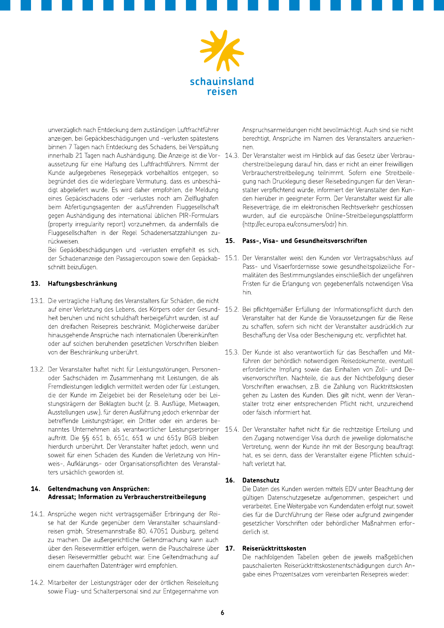

unverzüglich nach Entdeckung dem zuständigen Luftfrachtführer anzeigen, bei Gepäckbeschädigungen und -verlusten spätestens binnen 7 Tagen nach Entdeckung des Schadens, bei Verspätung aussetzung für eine Haftung des Luftfrachtführers. Nimmt der Kunde aufgegebenes Reisegepäck vorbehaltlos entgegen, so begründet dies die widerlegbare Vermutung, dass es unbeschädigt abgeliefert wurde. Es wird daher empfohlen, die Meldung eines Gepäckschadens oder -verlustes noch am Zielflughafen beim Abfertigungsagenten der ausführenden Fluggesellschaft gegen Aushändigung des international üblichen PIR-Formulars (property irregularity report) vorzunehmen, da andernfalls die Fluggesellschaften in der Regel Schadenersatzzahlungen zurückweisen.

Bei Gepäckbeschädigungen und -verlusten empfiehlt es sich, schnitt beizufügen.

### 13. Haftungsbeschränkung

- 13.1. Die vertragliche Haftung des Veranstalters für Schäden, die nicht heit beruhen und nicht schuldhaft herbeigeführt wurden, ist auf den dreifachen Reisepreis beschränkt. Möglicherweise darüber hinausgehende Ansprüche nach internationalen Übereinkünften oder auf solchen beruhenden gesetzlichen Vorschriften bleiben von der Beschränkung unberührt.
- 13.2. Der Veranstalter haftet nicht für Leistungsstörungen, Personenoder Sachschäden im Zusammenhang mit Leistungen, die als Fremdleistungen lediglich vermittelt werden oder für Leistungen, die der Kunde im Zielgebiet bei der Reiseleitung oder bei Leistungsträgern der Beklagten bucht (z. B. Ausflüge, Mietwagen, Ausstellungen usw.), für deren Ausführung jedoch erkennbar der betreffende Leistungsträger, ein Dritter oder ein anderes benanntes Unternehmen als verantwortlicher Leistungserbringer 15.4. Der Veranstalter haftet nicht für die rechtzeitige Erteilung und auftritt. Die §§ 651 b, 651c, 651 w und 651y BGB bleiben hierdurch unberührt. Der Veranstalter haftet jedoch, wenn und soweit für einen Schaden des Kunden die Verletzung von Hinweis-, Aufklärungs- oder Organisationspflichten des Veranstalters ursächlich geworden ist.

### 14. Geltendmachung von Ansprüchen: Adressat; Information zu Verbraucherstreitbeilegung

- 14.1. Ansprüche wegen nicht vertragsgemäßer Erbringung der Reise hat der Kunde gegenüber dem Veranstalter schauinslandreisen gmbh, Stresemannstraße 80, 47051 Duisburg, geltend zu machen. Die außergerichtliche Geltendmachung kann auch über den Reisevermittler erfolgen, wenn die Pauschalreise über diesen Reisevermittler gebucht war. Eine Geltendmachung auf einem dauerhaften Datenträger wird empfohlen.
- 14.2. Mitarbeiter der Leistungsträger oder der örtlichen Reiseleitung sowie Flug- und Schalterpersonal sind zur Entgegennahme von

Anspruchsanmeldungen nicht bevollmächtigt. Auch sind sie nicht berechtigt. Ansprüche im Namen des Veranstalters anzuerkennen.

innerhalb 21 Tagen nach Aushändigung. Die Anzeige ist die Vor- 14.3. Der Veranstalter weist im Hinblick auf das Gesetz über Verbraucherstreitbeilegung darauf hin, dass er nicht an einer freiwilligen Verbraucherstreitbeilegung teilnimmt. Sofern eine Streitbeilegung nach Drucklegung dieser Reisebedingungen für den Veranstalter verpflichtend würde, informiert der Veranstalter den Kunden hierüber in geeigneter Form. Der Veranstalter weist für alle Reiseverträge, die im elektronischen Rechtsverkehr geschlossen wurden, auf die europäische Online-Streitbeilegungsplattform (http://ec.europa.eu/consumers/odr) hin.

#### $15.$ Pass-, Visa- und Gesundheitsvorschriften

- der Schadenanzeige den Passagiercoupon sowie den Gepäckab- 15.1. Der Veranstalter weist den Kunden vor Vertragsabschluss auf Pass- und Visaerfordernisse sowie gesundheitspolizeiliche Formalitäten des Bestimmungslandes einschließlich der ungefähren Fristen für die Erlangung von gegebenenfalls notwendigen Visa hin.
- auf einer Verletzung des Lebens, des Körpers oder der Gesund- 15.2. Bei pflichtgemäßer Erfüllung der Informationspflicht durch den Veranstalter hat der Kunde die Voraussetzungen für die Reise zu schaffen, sofern sich nicht der Veranstalter ausdrücklich zur Beschaffung der Visa oder Bescheinigung etc. verpflichtet hat.
	- 15.3. Der Kunde ist also verantwortlich für das Beschaffen und Mitführen der behördlich notwendigen Reisedokumente, eventuell erforderliche Impfung sowie das Einhalten von Zoll- und Devisenvorschriften. Nachteile, die aus der Nichtbefolgung dieser Vorschriften erwachsen, z.B. die Zahlung von Rücktrittskosten gehen zu Lasten des Kunden. Dies gilt nicht, wenn der Veranstalter trotz einer entsprechenden Pflicht nicht, unzureichend oder falsch informiert hat.
	- den Zugang notwendiger Visa durch die jeweilige diplomatische Vertretung, wenn der Kunde ihn mit der Besorgung beauftragt hat, es sei denn, dass der Veranstalter eigene Pflichten schuldhaft verletzt hat.

### 16. Datenschutz

Die Daten des Kunden werden mittels EDV unter Beachtung der gültigen Datenschutzgesetze aufgenommen, gespeichert und verarbeitet. Eine Weitergabe von Kundendaten erfolgt nur, soweit dies für die Durchführung der Reise oder aufgrund zwingender gesetzlicher Vorschriften oder behördlicher Maßnahmen erforderlich ist.

#### $17.$ Reiserücktrittskosten

Die nachfolgenden Tabellen geben die jeweils maßgeblichen pauschalierten Reiserücktrittskostenentschädigungen durch Angabe eines Prozentsatzes vom vereinbarten Reisepreis wieder: